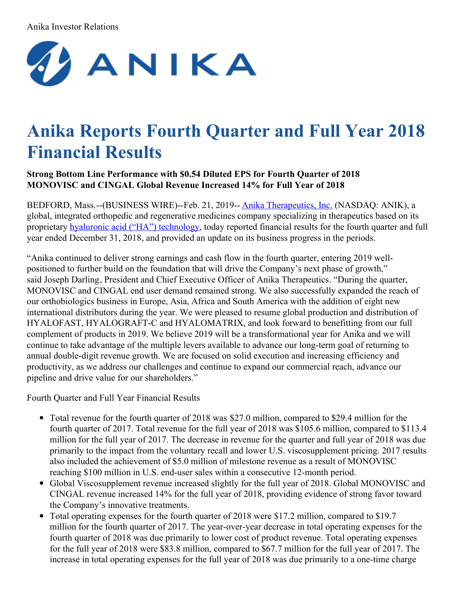Anika Investor Relations



# **Anika Reports Fourth Quarter and Full Year 2018 Financial Results**

## **Strong Bottom Line Performance with \$0.54 Diluted EPS for Fourth Quarter of 2018 MONOVISC and CINGAL Global Revenue Increased 14% for Full Year of 2018**

BEDFORD, Mass.--(BUSINESS WIRE)--Feb. 21, 2019-- Anika [Therapeutics,](https://cts.businesswire.com/ct/CT?id=smartlink&url=https%3A%2F%2Fwww.anikatherapeutics.com%2F&esheet=51944223&newsitemid=20190221005853&lan=en-US&anchor=Anika+Therapeutics%2C+Inc.&index=1&md5=02f57d85adb7078117b1643ffc631a60) Inc. (NASDAQ: ANIK), a global, integrated orthopedic and regenerative medicines company specializing in therapeutics based on its proprietary hyaluronic acid ("HA") [technology](https://cts.businesswire.com/ct/CT?id=smartlink&url=https%3A%2F%2Fwww.anikatherapeutics.com%2Ftechnology%2Fha-biology%2F&esheet=51944223&newsitemid=20190221005853&lan=en-US&anchor=hyaluronic+acid+%28%E2%80%9CHA%E2%80%9D%29+technology&index=2&md5=75872bd368efd36603c1202a2b6a1218), today reported financial results for the fourth quarter and full year ended December 31, 2018, and provided an update on its business progress in the periods.

"Anika continued to deliver strong earnings and cash flow in the fourth quarter, entering 2019 wellpositioned to further build on the foundation that will drive the Company's next phase of growth," said Joseph Darling, President and Chief Executive Officer of Anika Therapeutics. "During the quarter, MONOVISC and CINGAL end user demand remained strong. We also successfully expanded the reach of our orthobiologics business in Europe, Asia, Africa and South America with the addition of eight new international distributors during the year. We were pleased to resume global production and distribution of HYALOFAST, HYALOGRAFT-C and HYALOMATRIX, and look forward to benefitting from our full complement of products in 2019. We believe 2019 will be a transformational year for Anika and we will continue to take advantage of the multiple levers available to advance our long-term goal of returning to annual double-digit revenue growth. We are focused on solid execution and increasing efficiency and productivity, as we address our challenges and continue to expand our commercial reach, advance our pipeline and drive value for our shareholders."

Fourth Quarter and Full Year Financial Results

- Total revenue for the fourth quarter of 2018 was \$27.0 million, compared to \$29.4 million for the fourth quarter of 2017. Total revenue for the full year of 2018 was \$105.6 million, compared to \$113.4 million for the full year of 2017. The decrease in revenue for the quarter and full year of 2018 was due primarily to the impact from the voluntary recall and lower U.S. viscosupplement pricing. 2017 results also included the achievement of \$5.0 million of milestone revenue as a result of MONOVISC reaching \$100 million in U.S. end-user sales within a consecutive 12-month period.
- Global Viscosupplement revenue increased slightly for the full year of 2018. Global MONOVISC and CINGAL revenue increased 14% for the full year of 2018, providing evidence of strong favor toward the Company's innovative treatments.
- Total operating expenses for the fourth quarter of 2018 were \$17.2 million, compared to \$19.7 million for the fourth quarter of 2017. The year-over-year decrease in total operating expenses for the fourth quarter of 2018 was due primarily to lower cost of product revenue. Total operating expenses for the full year of 2018 were \$83.8 million, compared to \$67.7 million for the full year of 2017. The increase in total operating expenses for the full year of 2018 was due primarily to a one-time charge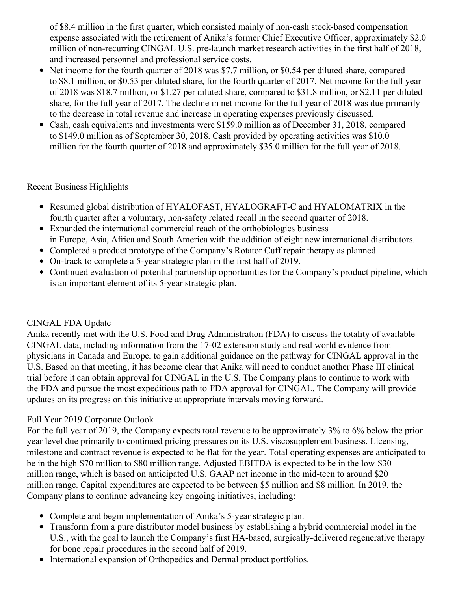of \$8.4 million in the first quarter, which consisted mainly of non-cash stock-based compensation expense associated with the retirement of Anika's former Chief Executive Officer, approximately \$2.0 million of non-recurring CINGAL U.S. pre-launch market research activities in the first half of 2018, and increased personnel and professional service costs.

- Net income for the fourth quarter of 2018 was \$7.7 million, or \$0.54 per diluted share, compared  $\bullet$ to \$8.1 million, or \$0.53 per diluted share, for the fourth quarter of 2017. Net income for the full year of 2018 was \$18.7 million, or \$1.27 per diluted share, compared to \$31.8 million, or \$2.11 per diluted share, for the full year of 2017. The decline in net income for the full year of 2018 was due primarily to the decrease in total revenue and increase in operating expenses previously discussed.
- Cash, cash equivalents and investments were \$159.0 million as of December 31, 2018, compared  $\bullet$ to \$149.0 million as of September 30, 2018. Cash provided by operating activities was \$10.0 million for the fourth quarter of 2018 and approximately \$35.0 million for the full year of 2018.

## Recent Business Highlights

- Resumed global distribution of HYALOFAST, HYALOGRAFT-C and HYALOMATRIX in the fourth quarter after a voluntary, non-safety related recall in the second quarter of 2018.
- Expanded the international commercial reach of the orthobiologics business in Europe, Asia, Africa and South America with the addition of eight new international distributors.
- Completed a product prototype of the Company's Rotator Cuff repair therapy as planned.
- On-track to complete a 5-year strategic plan in the first half of 2019.
- Continued evaluation of potential partnership opportunities for the Company's product pipeline, which is an important element of its 5-year strategic plan.

## CINGAL FDA Update

Anika recently met with the U.S. Food and Drug Administration (FDA) to discuss the totality of available CINGAL data, including information from the 17-02 extension study and real world evidence from physicians in Canada and Europe, to gain additional guidance on the pathway for CINGAL approval in the U.S. Based on that meeting, it has become clear that Anika will need to conduct another Phase III clinical trial before it can obtain approval for CINGAL in the U.S. The Company plans to continue to work with the FDA and pursue the most expeditious path to FDA approval for CINGAL. The Company will provide updates on its progress on this initiative at appropriate intervals moving forward.

## Full Year 2019 Corporate Outlook

For the full year of 2019, the Company expects total revenue to be approximately 3% to 6% below the prior year level due primarily to continued pricing pressures on its U.S. viscosupplement business. Licensing, milestone and contract revenue is expected to be flat for the year. Total operating expenses are anticipated to be in the high \$70 million to \$80 million range. Adjusted EBITDA is expected to be in the low \$30 million range, which is based on anticipated U.S. GAAP net income in the mid-teen to around \$20 million range. Capital expenditures are expected to be between \$5 million and \$8 million. In 2019, the Company plans to continue advancing key ongoing initiatives, including:

- Complete and begin implementation of Anika's 5-year strategic plan.
- Transform from a pure distributor model business by establishing a hybrid commercial model in the U.S., with the goal to launch the Company's first HA-based, surgically-delivered regenerative therapy for bone repair procedures in the second half of 2019.
- International expansion of Orthopedics and Dermal product portfolios.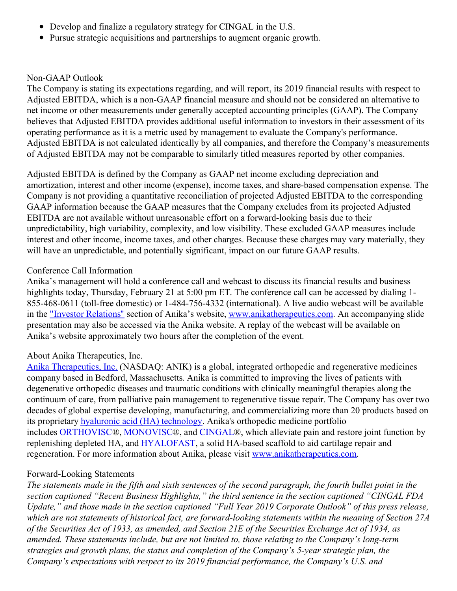- Develop and finalize a regulatory strategy for CINGAL in the U.S.
- Pursue strategic acquisitions and partnerships to augment organic growth.

#### Non-GAAP Outlook

The Company is stating its expectations regarding, and will report, its 2019 financial results with respect to Adjusted EBITDA, which is a non-GAAP financial measure and should not be considered an alternative to net income or other measurements under generally accepted accounting principles (GAAP). The Company believes that Adjusted EBITDA provides additional useful information to investors in their assessment of its operating performance as it is a metric used by management to evaluate the Company's performance. Adjusted EBITDA is not calculated identically by all companies, and therefore the Company's measurements of Adjusted EBITDA may not be comparable to similarly titled measures reported by other companies.

Adjusted EBITDA is defined by the Company as GAAP net income excluding depreciation and amortization, interest and other income (expense), income taxes, and share-based compensation expense. The Company is not providing a quantitative reconciliation of projected Adjusted EBITDA to the corresponding GAAP information because the GAAP measures that the Company excludes from its projected Adjusted EBITDA are not available without unreasonable effort on a forward-looking basis due to their unpredictability, high variability, complexity, and low visibility. These excluded GAAP measures include interest and other income, income taxes, and other charges. Because these charges may vary materially, they will have an unpredictable, and potentially significant, impact on our future GAAP results.

#### Conference Call Information

Anika's management will hold a conference call and webcast to discuss its financial results and business highlights today, Thursday, February 21 at 5:00 pm ET. The conference call can be accessed by dialing 1-855-468-0611 (toll-free domestic) or 1-484-756-4332 (international). A live audio webcast will be available in the ["](https://cts.businesswire.com/ct/CT?id=smartlink&url=http%3A%2F%2Fir.anikatherapeutics.com%2Fevents.cfm&esheet=51944223&newsitemid=20190221005853&lan=en-US&anchor=%22&index=3&md5=ad3c3c810f3352b93f75ea9588790f19)Investor [Relations](https://cts.businesswire.com/ct/CT?id=smartlink&url=https%3A%2F%2Fir.anikatherapeutics.com%2Fevents.cfm&esheet=51944223&newsitemid=20190221005853&lan=en-US&anchor=Investor+Relations&index=4&md5=75ee1f7f1a88e7b9f5d609e309fdaf6d)["](https://cts.businesswire.com/ct/CT?id=smartlink&url=http%3A%2F%2Fir.anikatherapeutics.com%2Fevents.cfm&esheet=51944223&newsitemid=20190221005853&lan=en-US&anchor=%22&index=5&md5=09b3846dda8934fa6fc1cbac7f66ff18) section of Anika's website, [www.anikatherapeutics.com](https://cts.businesswire.com/ct/CT?id=smartlink&url=https%3A%2F%2Fwww.anikatherapeutics.com%2Findex.html&esheet=51944223&newsitemid=20190221005853&lan=en-US&anchor=www.anikatherapeutics.com&index=6&md5=ae3d3a1aa7245fcc5338686d1900aded). An accompanying slide presentation may also be accessed via the Anika website. A replay of the webcast will be available on Anika's website approximately two hours after the completion of the event.

#### About Anika Therapeutics, Inc.

Anika [Therapeutics,](https://cts.businesswire.com/ct/CT?id=smartlink&url=https%3A%2F%2Fwww.anikatherapeutics.com%2F&esheet=51944223&newsitemid=20190221005853&lan=en-US&anchor=Anika+Therapeutics%2C+Inc.&index=7&md5=ba146a0c29650ac9d210ab6d817f65a3) Inc. (NASDAQ: ANIK) is a global, integrated orthopedic and regenerative medicines company based in Bedford, Massachusetts. Anika is committed to improving the lives of patients with degenerative orthopedic diseases and traumatic conditions with clinically meaningful therapies along the continuum of care, from palliative pain management to regenerative tissue repair. The Company has over two decades of global expertise developing, manufacturing, and commercializing more than 20 products based on its proprietary hyaluronic acid (HA) [technology](https://cts.businesswire.com/ct/CT?id=smartlink&url=https%3A%2F%2Fwww.anikatherapeutics.com%2Ftechnology%2Fha-biology%2F&esheet=51944223&newsitemid=20190221005853&lan=en-US&anchor=hyaluronic+acid+%28HA%29+technology&index=8&md5=cb25d014635e1df4aec1b3b9de966e56). Anika's orthopedic medicine portfolio includes [ORTHOVISC](https://cts.businesswire.com/ct/CT?id=smartlink&url=https%3A%2F%2Fwww.anikatherapeutics.com%2Fproducts%2Forthobiologics%2Forthovisc%2F&esheet=51944223&newsitemid=20190221005853&lan=en-US&anchor=ORTHOVISC&index=9&md5=3a10a648df1e506e108229cb1f18cd69)®, [MONOVISC](https://cts.businesswire.com/ct/CT?id=smartlink&url=https%3A%2F%2Fwww.anikatherapeutics.com%2Fproducts%2Forthobiologics%2Fmonovisc%2F&esheet=51944223&newsitemid=20190221005853&lan=en-US&anchor=MONOVISC&index=10&md5=2dc547e446e97a0dd15a8cbde7a5958b)®, and [CINGAL](https://cts.businesswire.com/ct/CT?id=smartlink&url=https%3A%2F%2Fwww.anikatherapeutics.com%2Fproducts%2Forthobiologics%2Fcingal%2F&esheet=51944223&newsitemid=20190221005853&lan=en-US&anchor=CINGAL&index=11&md5=c0079a8bc32f908e816d839ee83cc3e2)®, which alleviate pain and restore joint function by replenishing depleted HA, and **HYALOFAST**, a solid HA-based scaffold to aid cartilage repair and regeneration. For more information about Anika, please visit [www.anikatherapeutics.com](https://cts.businesswire.com/ct/CT?id=smartlink&url=https%3A%2F%2Fwww.anikatherapeutics.com%2F&esheet=51944223&newsitemid=20190221005853&lan=en-US&anchor=www.anikatherapeutics.com&index=13&md5=6a0db051462122f44cfb41ef65acc2eb).

## Forward-Looking Statements

The statements made in the fifth and sixth sentences of the second paragraph, the fourth bullet point in the *section captioned "Recent Business Highlights," the third sentence in the section captioned "CINGAL FDA* Update," and those made in the section captioned "Full Year 2019 Corporate Outlook" of this press release, *which are not statements of historical fact, are forward-looking statements within the meaning of Section 27A* of the Securities Act of 1933, as amended, and Section 21E of the Securities Exchange Act of 1934, as *amended. These statements include, but are not limited to, those relating to the Company's long-term strategies and growth plans, the status and completion of the Company's 5-year strategic plan, the Company's expectations with respect to its 2019 financial performance, the Company's U.S. and*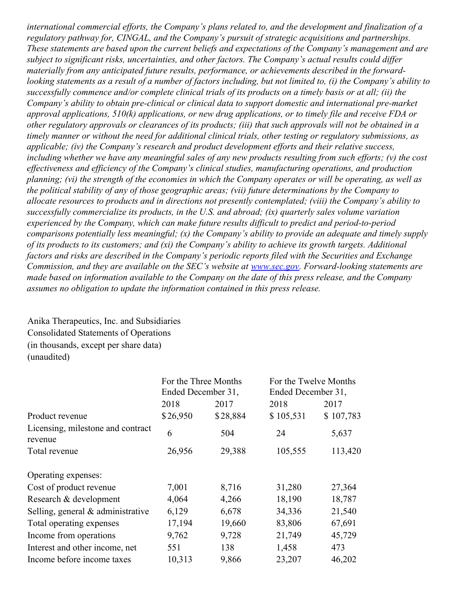*international commercial ef orts, the Company's plans related to, and the development and finalization of a regulatory pathway for, CINGAL, and the Company's pursuit of strategic acquisitions and partnerships. These statements are based upon the current beliefs and expectations of the Company's management and are subject to significant risks, uncertainties, and other factors. The Company's actual results could dif er materially from any anticipated future results, performance, or achievements described in the forward*looking statements as a result of a number of factors including, but not limited to, (i) the Company's ability to successfully commence and/or complete clinical trials of its products on a timely basis or at all; (ii) the *Company's ability to obtain pre-clinical or clinical data to support domestic and international pre-market approval applications, 510(k) applications, or new drug applications, or to timely file and receive FDA or* other regulatory approvals or clearances of its products; (iii) that such approvals will not be obtained in a *timely manner or without the need for additional clinical trials, other testing or regulatory submissions, as applicable; (iv) the Company's research and product development ef orts and their relative success,* including whether we have any meaningful sales of any new products resulting from such efforts; (v) the cost *ef ectiveness and ef iciency of the Company's clinical studies, manufacturing operations, and production* planning; (vi) the strength of the economies in which the Company operates or will be operating, as well as *the political stability of any of those geographic areas; (vii) future determinations by the Company to allocate resources to products and in directions not presently contemplated; (viii) the Company's ability to successfully commercialize its products, in the U.S. and abroad; (ix) quarterly sales volume variation experienced by the Company, which can make future results dif icult to predict and period-to-period comparisons potentially less meaningful; (x) the Company's ability to provide an adequate and timely supply* of its products to its customers; and (xi) the Company's ability to achieve its growth targets. Additional *factors and risks are described in the Company's periodic reports filed with the Securities and Exchange Commission, and they are available on the SEC's website at [www.sec.gov](http://www.sec.gov/). Forward-looking statements are* made based on information available to the Company on the date of this press release, and the Company *assumes no obligation to update the information contained in this press release.*

Anika Therapeutics, Inc. and Subsidiaries Consolidated Statements of Operations (in thousands, except per share data) (unaudited)

|                                              | For the Three Months |          | For the Twelve Months |           |  |  |
|----------------------------------------------|----------------------|----------|-----------------------|-----------|--|--|
|                                              | Ended December 31,   |          | Ended December 31,    |           |  |  |
|                                              | 2018                 | 2017     | 2018                  | 2017      |  |  |
| Product revenue                              | \$26,950             | \$28,884 | \$105,531             | \$107,783 |  |  |
| Licensing, milestone and contract<br>revenue | 6                    | 504      | 24                    | 5,637     |  |  |
| Total revenue                                | 26,956               | 29,388   | 105,555               | 113,420   |  |  |
| Operating expenses:                          |                      |          |                       |           |  |  |
| Cost of product revenue                      | 7,001                | 8,716    | 31,280                | 27,364    |  |  |
| Research & development                       | 4,064                | 4,266    | 18,190                | 18,787    |  |  |
| Selling, general $&$ administrative          | 6,129                | 6,678    | 34,336                | 21,540    |  |  |
| Total operating expenses                     | 17,194               | 19,660   | 83,806                | 67,691    |  |  |
| Income from operations                       | 9,762                | 9,728    | 21,749                | 45,729    |  |  |
| Interest and other income, net               | 551                  | 138      | 1,458                 | 473       |  |  |
| Income before income taxes                   | 10,313               | 9,866    | 23,207                | 46,202    |  |  |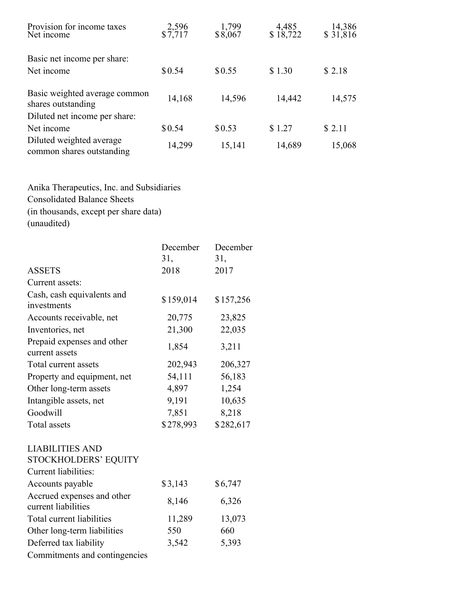| Provision for income taxes<br>Net income              | 2,596<br>\$7,717 | 1,799<br>\$8,067 | 4,485<br>\$18,722 | 14,386<br>\$31,816 |
|-------------------------------------------------------|------------------|------------------|-------------------|--------------------|
| Basic net income per share:                           |                  |                  |                   |                    |
| Net income                                            | \$0.54           | \$0.55           | \$1.30            | \$2.18             |
| Basic weighted average common<br>shares outstanding   | 14,168           | 14,596           | 14,442            | 14,575             |
| Diluted net income per share:                         |                  |                  |                   |                    |
| Net income                                            | \$0.54           | \$0.53           | \$1.27            | \$2.11             |
| Diluted weighted average<br>common shares outstanding | 14,299           | 15,141           | 14,689            | 15,068             |

Anika Therapeutics, Inc. and Subsidiaries Consolidated Balance Sheets (in thousands, except per share data) (unaudited)

|                                                   | December  | December  |
|---------------------------------------------------|-----------|-----------|
|                                                   | 31,       | 31,       |
| <b>ASSETS</b>                                     | 2018      | 2017      |
| Current assets:                                   |           |           |
| Cash, cash equivalents and<br>investments         | \$159,014 | \$157,256 |
| Accounts receivable, net                          | 20,775    | 23,825    |
| Inventories, net                                  | 21,300    | 22,035    |
| Prepaid expenses and other<br>current assets      | 1,854     | 3,211     |
| Total current assets                              | 202,943   | 206,327   |
| Property and equipment, net                       | 54,111    | 56,183    |
| Other long-term assets                            | 4,897     | 1,254     |
| Intangible assets, net                            | 9,191     | 10,635    |
| Goodwill                                          | 7,851     | 8,218     |
| <b>Total</b> assets                               | \$278,993 | \$282,617 |
| <b>LIABILITIES AND</b><br>STOCKHOLDERS' EQUITY    |           |           |
| <b>Current liabilities:</b>                       |           |           |
| Accounts payable                                  | \$3,143   | \$6,747   |
| Accrued expenses and other<br>current liabilities | 8,146     | 6,326     |
| Total current liabilities                         | 11,289    | 13,073    |
| Other long-term liabilities                       | 550       | 660       |
| Deferred tax liability                            | 3,542     | 5,393     |
| Commitments and contingencies                     |           |           |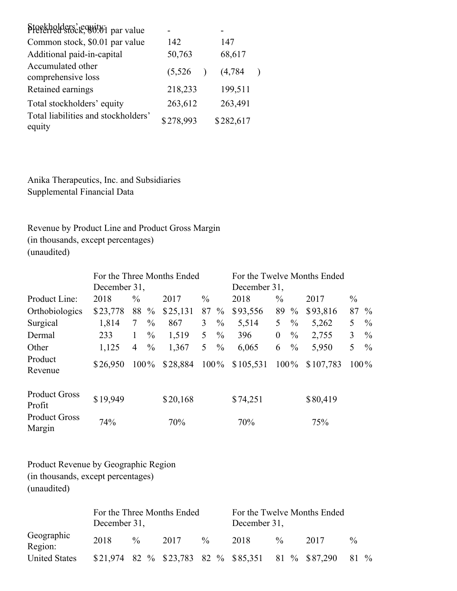| Stockholders' equity' par value               |           |           |
|-----------------------------------------------|-----------|-----------|
| Common stock, \$0.01 par value                | 142       | 147       |
| Additional paid-in-capital                    | 50,763    | 68,617    |
| Accumulated other<br>comprehensive loss       | (5,526)   | (4,784)   |
| Retained earnings                             | 218,233   | 199,511   |
| Total stockholders' equity                    | 263,612   | 263,491   |
| Total liabilities and stockholders'<br>equity | \$278,993 | \$282,617 |

Anika Therapeutics, Inc. and Subsidiaries Supplemental Financial Data

Revenue by Product Line and Product Gross Margin (in thousands, except percentages) (unaudited)

|                                | For the Three Months Ended<br>December 31, |                 |               |          |               |               | For the Twelve Months Ended<br>December 31, |               |               |           |               |               |
|--------------------------------|--------------------------------------------|-----------------|---------------|----------|---------------|---------------|---------------------------------------------|---------------|---------------|-----------|---------------|---------------|
| Product Line:                  | 2018                                       | $\frac{0}{0}$   |               | 2017     | $\frac{0}{0}$ |               | 2018                                        | $\frac{0}{0}$ |               | 2017      | $\frac{0}{0}$ |               |
| Orthobiologics                 | \$23,778                                   | 88              | $\%$          | \$25,131 | $87\%$        |               | \$93,556                                    | 89            | $\%$          | \$93,816  | 87            | $\%$          |
| Surgical                       | 1,814                                      | $7\overline{ }$ | $\frac{0}{0}$ | 867      | 3             | $\frac{0}{0}$ | 5,514                                       | 5             | $\frac{0}{0}$ | 5,262     | 5             | $\frac{0}{0}$ |
| Dermal                         | 233                                        | $\mathbf{1}$    | $\frac{0}{0}$ | 1,519    | 5             | $\frac{0}{0}$ | 396                                         | $\mathbf{0}$  | $\frac{0}{0}$ | 2,755     | 3             | $\frac{0}{0}$ |
| Other                          | 1,125                                      | 4               | $\frac{0}{0}$ | 1,367    | 5             | $\frac{0}{0}$ | 6,065                                       | 6             | $\frac{0}{0}$ | 5,950     | 5             | $\frac{0}{0}$ |
| Product<br>Revenue             | \$26,950                                   |                 | $100\%$       | \$28,884 |               | $100\%$       | \$105,531                                   |               | $100\%$       | \$107,783 | $100\%$       |               |
| <b>Product Gross</b><br>Profit | \$19,949                                   |                 |               | \$20,168 |               |               | \$74,251                                    |               |               | \$80,419  |               |               |
| <b>Product Gross</b><br>Margin | 74%                                        |                 |               | 70%      |               |               | 70%                                         |               |               | 75%       |               |               |
|                                |                                            |                 |               |          |               |               |                                             |               |               |           |               |               |

Product Revenue by Geographic Region (in thousands, except percentages) (unaudited)

|                       | December 31,                                        |  | For the Three Months Ended                     | For the Twelve Months Ended<br>December 31, |  |                                                         |  |  |
|-----------------------|-----------------------------------------------------|--|------------------------------------------------|---------------------------------------------|--|---------------------------------------------------------|--|--|
| Geographic<br>Region: | $\frac{0}{0}$<br>2018<br>$\frac{0}{\alpha}$<br>2017 |  | $\frac{0}{0}$<br>$\frac{0}{0}$<br>2018<br>2017 |                                             |  |                                                         |  |  |
| <b>United States</b>  |                                                     |  |                                                |                                             |  | \$21,974 82 % \$23,783 82 % \$85,351 81 % \$87,290 81 % |  |  |